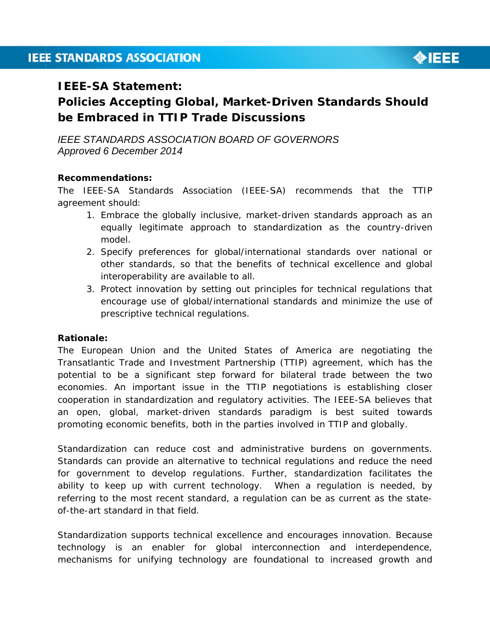

## **IEEE-SA Statement:**

# **Policies Accepting Global, Market-Driven Standards Should** be Embraced in TTIP Trade Discussions

**IFFE STANDARDS ASSOCIATION BOARD OF GOVERNORS** Approved 6 December 2014

#### **Recommendations:**

The IEEE-SA Standards Association (IEEE-SA) recommends that the TTIP agreement should:

- 1. Embrace the globally inclusive, market-driven standards approach as an equally legitimate approach to standardization as the country-driven model
- 2. Specify preferences for global/international standards over national or other standards, so that the benefits of technical excellence and global interoperability are available to all.
- 3. Protect innovation by setting out principles for technical regulations that encourage use of global/international standards and minimize the use of prescriptive technical regulations.

#### **Rationale:**

The European Union and the United States of America are negotiating the Transatlantic Trade and Investment Partnership (TTIP) agreement, which has the potential to be a significant step forward for bilateral trade between the two economies. An important issue in the TTIP negotiations is establishing closer cooperation in standardization and regulatory activities. The IEEE-SA believes that an open, global, market-driven standards paradigm is best suited towards promoting economic benefits, both in the parties involved in TTIP and globally.

Standardization can reduce cost and administrative burdens on governments. Standards can provide an alternative to technical regulations and reduce the need for government to develop regulations. Further, standardization facilitates the ability to keep up with current technology. When a regulation is needed, by referring to the most recent standard, a regulation can be as current as the stateof-the-art standard in that field.

Standardization supports technical excellence and encourages innovation. Because technology is an enabler for global interconnection and interdependence, mechanisms for unifying technology are foundational to increased growth and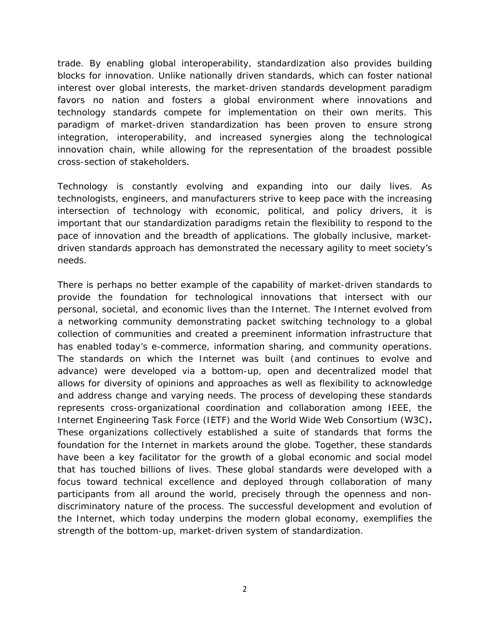trade. By enabling global interoperability, standardization also provides building blocks for innovation. Unlike nationally driven standards, which can foster national interest over global interests, the market-driven standards development paradigm favors no nation and fosters a global environment where innovations and technology standards compete for implementation on their own merits. This paradigm of market-driven standardization has been proven to ensure strong integration, interoperability, and increased synergies along the technological innovation chain, while allowing for the representation of the broadest possible cross-section of stakeholders.

Technology is constantly evolving and expanding into our daily lives. As technologists, engineers, and manufacturers strive to keep pace with the increasing intersection of technology with economic, political, and policy drivers, it is important that our standardization paradigms retain the flexibility to respond to the pace of innovation and the breadth of applications. The globally inclusive, marketdriven standards approach has demonstrated the necessary agility to meet society's needs.

There is perhaps no better example of the capability of market-driven standards to provide the foundation for technological innovations that intersect with our personal, societal, and economic lives than the Internet. The Internet evolved from a networking community demonstrating packet switching technology to a global collection of communities and created a preeminent information infrastructure that has enabled today's e-commerce, information sharing, and community operations. The standards on which the Internet was built (and continues to evolve and advance) were developed via a bottom-up, open and decentralized model that allows for diversity of opinions and approaches as well as flexibility to acknowledge and address change and varying needs. The process of developing these standards represents cross-organizational coordination and collaboration among IEEE, the Internet Engineering Task Force (IETF) and the World Wide Web Consortium (W3C)**.**  These organizations collectively established a suite of standards that forms the foundation for the Internet in markets around the globe. Together, these standards have been a key facilitator for the growth of a global economic and social model that has touched billions of lives. These global standards were developed with a focus toward technical excellence and deployed through collaboration of many participants from all around the world, precisely through the openness and nondiscriminatory nature of the process. The successful development and evolution of the Internet, which today underpins the modern global economy, exemplifies the strength of the bottom-up, market-driven system of standardization.